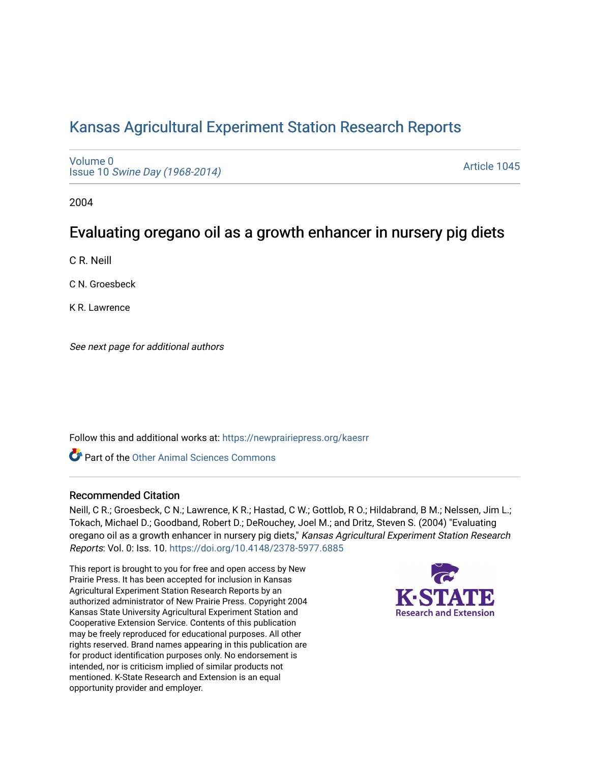# [Kansas Agricultural Experiment Station Research Reports](https://newprairiepress.org/kaesrr)

[Volume 0](https://newprairiepress.org/kaesrr/vol0) Issue 10 [Swine Day \(1968-2014\)](https://newprairiepress.org/kaesrr/vol0/iss10)

[Article 1045](https://newprairiepress.org/kaesrr/vol0/iss10/1045) 

2004

## Evaluating oregano oil as a growth enhancer in nursery pig diets

C R. Neill

C N. Groesbeck

K R. Lawrence

See next page for additional authors

Follow this and additional works at: [https://newprairiepress.org/kaesrr](https://newprairiepress.org/kaesrr?utm_source=newprairiepress.org%2Fkaesrr%2Fvol0%2Fiss10%2F1045&utm_medium=PDF&utm_campaign=PDFCoverPages) 

**C** Part of the [Other Animal Sciences Commons](http://network.bepress.com/hgg/discipline/82?utm_source=newprairiepress.org%2Fkaesrr%2Fvol0%2Fiss10%2F1045&utm_medium=PDF&utm_campaign=PDFCoverPages)

#### Recommended Citation

Neill, C R.; Groesbeck, C N.; Lawrence, K R.; Hastad, C W.; Gottlob, R O.; Hildabrand, B M.; Nelssen, Jim L.; Tokach, Michael D.; Goodband, Robert D.; DeRouchey, Joel M.; and Dritz, Steven S. (2004) "Evaluating oregano oil as a growth enhancer in nursery pig diets," Kansas Agricultural Experiment Station Research Reports: Vol. 0: Iss. 10.<https://doi.org/10.4148/2378-5977.6885>

This report is brought to you for free and open access by New Prairie Press. It has been accepted for inclusion in Kansas Agricultural Experiment Station Research Reports by an authorized administrator of New Prairie Press. Copyright 2004 Kansas State University Agricultural Experiment Station and Cooperative Extension Service. Contents of this publication may be freely reproduced for educational purposes. All other rights reserved. Brand names appearing in this publication are for product identification purposes only. No endorsement is intended, nor is criticism implied of similar products not mentioned. K-State Research and Extension is an equal opportunity provider and employer.

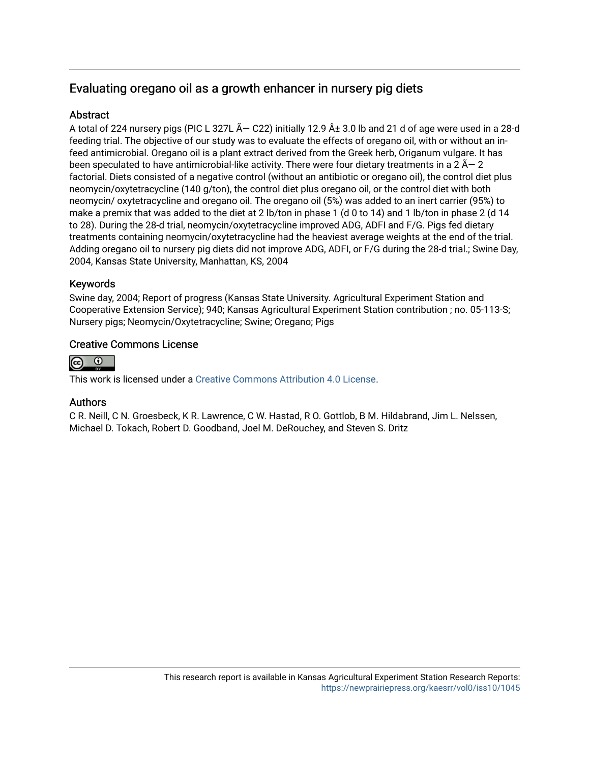## Evaluating oregano oil as a growth enhancer in nursery pig diets

### **Abstract**

A total of 224 nursery pigs (PIC L 327L  $\tilde{A}$  – C22) initially 12.9  $\hat{A}$  ± 3.0 lb and 21 d of age were used in a 28-d feeding trial. The objective of our study was to evaluate the effects of oregano oil, with or without an infeed antimicrobial. Oregano oil is a plant extract derived from the Greek herb, Origanum vulgare. It has been speculated to have antimicrobial-like activity. There were four dietary treatments in a 2  $\tilde{A}$  – 2 factorial. Diets consisted of a negative control (without an antibiotic or oregano oil), the control diet plus neomycin/oxytetracycline (140 g/ton), the control diet plus oregano oil, or the control diet with both neomycin/ oxytetracycline and oregano oil. The oregano oil (5%) was added to an inert carrier (95%) to make a premix that was added to the diet at 2 lb/ton in phase 1 (d 0 to 14) and 1 lb/ton in phase 2 (d 14 to 28). During the 28-d trial, neomycin/oxytetracycline improved ADG, ADFI and F/G. Pigs fed dietary treatments containing neomycin/oxytetracycline had the heaviest average weights at the end of the trial. Adding oregano oil to nursery pig diets did not improve ADG, ADFI, or F/G during the 28-d trial.; Swine Day, 2004, Kansas State University, Manhattan, KS, 2004

### Keywords

Swine day, 2004; Report of progress (Kansas State University. Agricultural Experiment Station and Cooperative Extension Service); 940; Kansas Agricultural Experiment Station contribution ; no. 05-113-S; Nursery pigs; Neomycin/Oxytetracycline; Swine; Oregano; Pigs

#### Creative Commons License



This work is licensed under a [Creative Commons Attribution 4.0 License](https://creativecommons.org/licenses/by/4.0/).

#### Authors

C R. Neill, C N. Groesbeck, K R. Lawrence, C W. Hastad, R O. Gottlob, B M. Hildabrand, Jim L. Nelssen, Michael D. Tokach, Robert D. Goodband, Joel M. DeRouchey, and Steven S. Dritz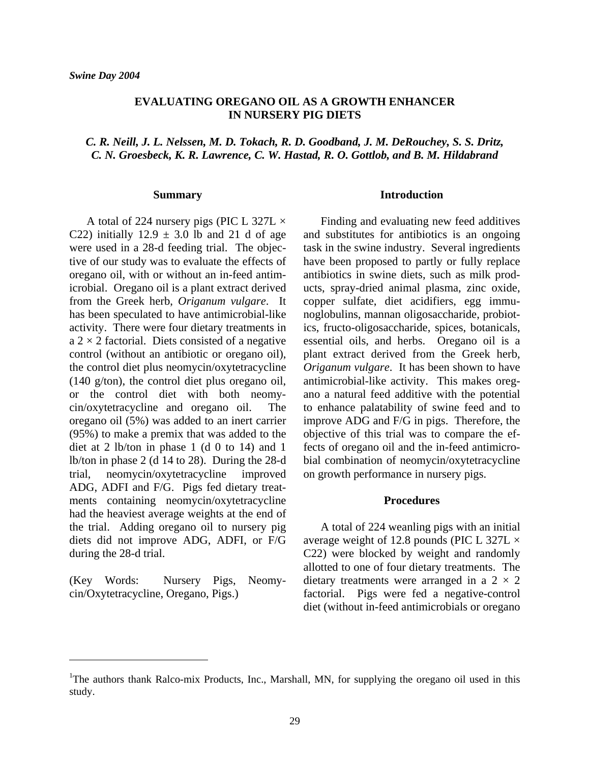#### **EVALUATING OREGANO OIL AS A GROWTH ENHANCER IN NURSERY PIG DIETS**

*C. R. Neill, J. L. Nelssen, M. D. Tokach, R. D. Goodband, J. M. DeRouchey, S. S. Dritz, C. N. Groesbeck, K. R. Lawrence, C. W. Hastad, R. O. Gottlob, and B. M. Hildabrand* 

#### **Summary**

A total of 224 nursery pigs (PIC L 327L  $\times$ C22) initially  $12.9 \pm 3.0$  lb and 21 d of age were used in a 28-d feeding trial. The objective of our study was to evaluate the effects of oregano oil, with or without an in-feed antimicrobial. Oregano oil is a plant extract derived from the Greek herb, *Origanum vulgare*. It has been speculated to have antimicrobial-like activity. There were four dietary treatments in  $a$  2  $\times$  2 factorial. Diets consisted of a negative control (without an antibiotic or oregano oil), the control diet plus neomycin/oxytetracycline (140 g/ton), the control diet plus oregano oil, or the control diet with both neomycin/oxytetracycline and oregano oil. The oregano oil (5%) was added to an inert carrier (95%) to make a premix that was added to the diet at 2 lb/ton in phase 1 (d 0 to 14) and 1 lb/ton in phase 2 (d 14 to 28). During the 28-d trial, neomycin/oxytetracycline improved ADG, ADFI and F/G. Pigs fed dietary treatments containing neomycin/oxytetracycline had the heaviest average weights at the end of the trial. Adding oregano oil to nursery pig diets did not improve ADG, ADFI, or F/G during the 28-d trial.

(Key Words: Nursery Pigs, Neomycin/Oxytetracycline, Oregano, Pigs.)

 $\overline{a}$ 

#### **Introduction**

 Finding and evaluating new feed additives and substitutes for antibiotics is an ongoing task in the swine industry. Several ingredients have been proposed to partly or fully replace antibiotics in swine diets, such as milk products, spray-dried animal plasma, zinc oxide, copper sulfate, diet acidifiers, egg immunoglobulins, mannan oligosaccharide, probiotics, fructo-oligosaccharide, spices, botanicals, essential oils, and herbs. Oregano oil is a plant extract derived from the Greek herb, *Origanum vulgare*. It has been shown to have antimicrobial-like activity. This makes oregano a natural feed additive with the potential to enhance palatability of swine feed and to improve ADG and F/G in pigs. Therefore, the objective of this trial was to compare the effects of oregano oil and the in-feed antimicrobial combination of neomycin/oxytetracycline on growth performance in nursery pigs.

#### **Procedures**

 A total of 224 weanling pigs with an initial average weight of 12.8 pounds (PIC L 327L  $\times$ C22) were blocked by weight and randomly allotted to one of four dietary treatments. The dietary treatments were arranged in a  $2 \times 2$ factorial. Pigs were fed a negative-control diet (without in-feed antimicrobials or oregano

<sup>&</sup>lt;sup>1</sup>The authors thank Ralco-mix Products, Inc., Marshall, MN, for supplying the oregano oil used in this study.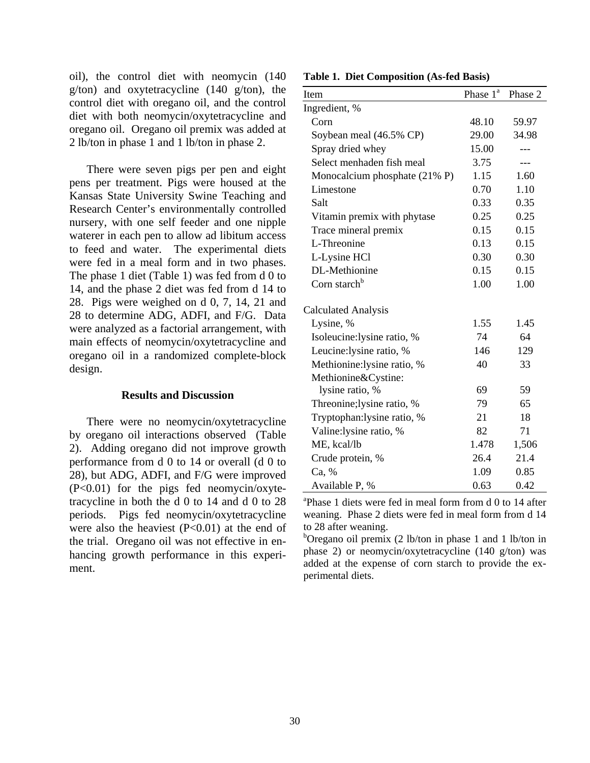oil), the control diet with neomycin (140 g/ton) and oxytetracycline (140 g/ton), the control diet with oregano oil, and the control diet with both neomycin/oxytetracycline and oregano oil. Oregano oil premix was added at 2 lb/ton in phase 1 and 1 lb/ton in phase 2.

 There were seven pigs per pen and eight pens per treatment. Pigs were housed at the Kansas State University Swine Teaching and Research Center's environmentally controlled nursery, with one self feeder and one nipple waterer in each pen to allow ad libitum access to feed and water. The experimental diets were fed in a meal form and in two phases. The phase 1 diet (Table 1) was fed from d 0 to 14, and the phase 2 diet was fed from d 14 to 28. Pigs were weighed on d 0, 7, 14, 21 and 28 to determine ADG, ADFI, and F/G. Data were analyzed as a factorial arrangement, with main effects of neomycin/oxytetracycline and oregano oil in a randomized complete-block design.

#### **Results and Discussion**

 There were no neomycin/oxytetracycline by oregano oil interactions observed (Table 2). Adding oregano did not improve growth performance from d 0 to 14 or overall (d 0 to 28), but ADG, ADFI, and F/G were improved (P<0.01) for the pigs fed neomycin/oxytetracycline in both the d 0 to 14 and d 0 to 28 periods. Pigs fed neomycin/oxytetracycline were also the heaviest  $(P<0.01)$  at the end of the trial. Oregano oil was not effective in enhancing growth performance in this experiment.

**Table 1. Diet Composition (As-fed Basis)**

| Item                          | Phase 1 <sup>a</sup> | Phase 2 |
|-------------------------------|----------------------|---------|
| Ingredient, %                 |                      |         |
| Corn                          | 48.10                | 59.97   |
| Soybean meal (46.5% CP)       | 29.00                | 34.98   |
| Spray dried whey              | 15.00                |         |
| Select menhaden fish meal     | 3.75                 | ---     |
| Monocalcium phosphate (21% P) | 1.15                 | 1.60    |
| Limestone                     | 0.70                 | 1.10    |
| Salt                          | 0.33                 | 0.35    |
| Vitamin premix with phytase   | 0.25                 | 0.25    |
| Trace mineral premix          | 0.15                 | 0.15    |
| L-Threonine                   | 0.13                 | 0.15    |
| L-Lysine HCl                  | 0.30                 | 0.30    |
| DL-Methionine                 | 0.15                 | 0.15    |
| Corn starch <sup>b</sup>      | 1.00                 | 1.00    |
| <b>Calculated Analysis</b>    |                      |         |
| Lysine, %                     | 1.55                 | 1.45    |
| Isoleucine:lysine ratio, %    | 74                   | 64      |
| Leucine: lysine ratio, %      | 146                  | 129     |
| Methionine: lysine ratio, %   | 40                   | 33      |
| Methionine&Cystine:           |                      |         |
| lysine ratio, %               | 69                   | 59      |
| Threonine; lysine ratio, %    | 79                   | 65      |
| Tryptophan: lysine ratio, %   | 21                   | 18      |
| Valine:lysine ratio, %        | 82                   | 71      |
| ME, kcal/lb                   | 1.478                | 1,506   |
| Crude protein, %              | 26.4                 | 21.4    |
| Ca, %                         | 1.09                 | 0.85    |
| Available P, %                | 0.63                 | 0.42    |

a Phase 1 diets were fed in meal form from d 0 to 14 after weaning. Phase 2 diets were fed in meal form from d 14 to 28 after weaning.

<sup>b</sup>Oregano oil premix (2 lb/ton in phase 1 and 1 lb/ton in phase 2) or neomycin/oxytetracycline (140 g/ton) was added at the expense of corn starch to provide the experimental diets.